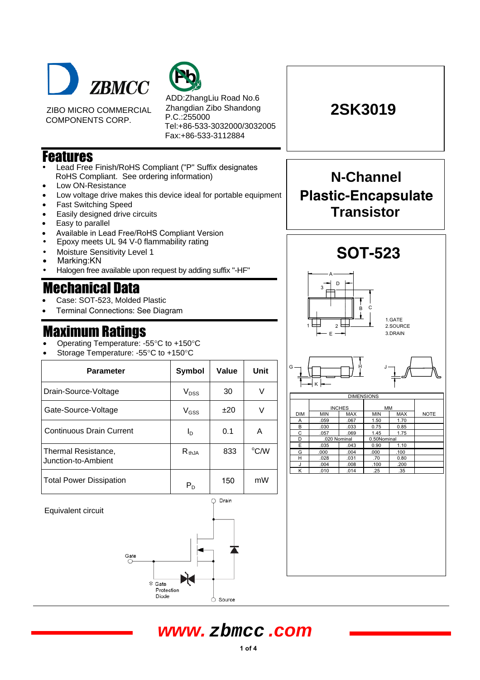

ZIBO MICRO COMMERCIAL COMPONENTS CORP.



ADD:ZhangLiu Road No.6 Zhangdian Zibo Shandong P.C.:255000 Tel:+86-533-3032000/3032005 Fax:+86-533-3112884

### **Features**

- Lead Free Finish/RoHS Compliant ("P" Suffix designates<br>ReHS Compliant See ordering information) RoHS Compliant. See ordering information)
- Low ON-Resistance
- Low voltage drive makes this device ideal for portable equipment
- Fast Switching Speed
- Easily designed drive circuits
- Easy to parallel
- Available in Lead Free/RoHS Compliant Version
- Epoxy meets UL 94 V-0 flammability rating
- Moisture Sensitivity Level 1
- Marking:KN
- Halogen free available upon request by adding suffix "-HF"

## **Mechanical Data**

- Case: SOT-523, Molded Plastic
- Terminal Connections: See Diagram

### **Maximum Rati**i nas

- Operating Temperature: -55°C to +150°C
- Storage Temperature: -55°C to +150°C

| <b>Parameter</b>                           | Symbol                  | Value | <b>Unit</b> |  |
|--------------------------------------------|-------------------------|-------|-------------|--|
| Drain-Source-Voltage                       | $V_{DSS}$               | 30    | V           |  |
| Gate-Source-Voltage                        | $V_{GSS}$               | ±20   |             |  |
| <b>Continuous Drain Current</b>            | ΙD                      | 0.1   | A           |  |
| Thermal Resistance,<br>Junction-to-Ambient | $R_{thJA}$              | 833   | °C/W        |  |
| <b>Total Power Dissipation</b>             | $\mathsf{P}_\mathsf{D}$ | 150   | mW          |  |

Equivalent circuit





**2SK3019**



K





# **www. zbmcc .com**

Drain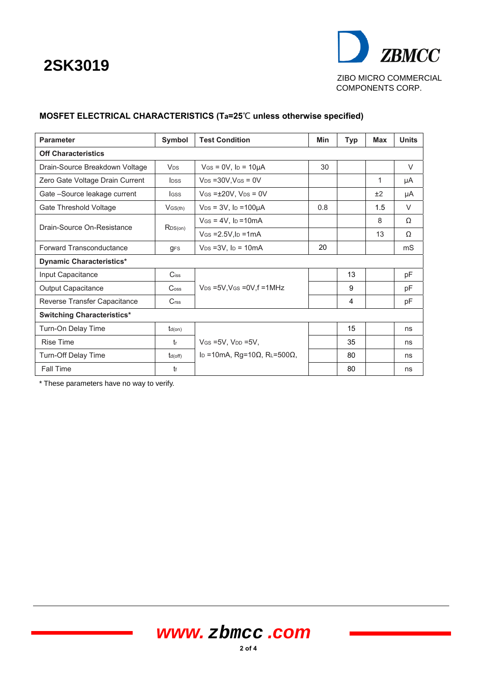# **2SK3019**



### **MOSFET ELECTRICAL CHARACTERISTICS (Ta=25**℃ **unless otherwise specified)**

| <b>Parameter</b>                  | Symbol                      | <b>Test Condition</b>                                     | Min | <b>Typ</b> | Max | <b>Units</b>   |
|-----------------------------------|-----------------------------|-----------------------------------------------------------|-----|------------|-----|----------------|
| <b>Off Characteristics</b>        |                             |                                                           |     |            |     |                |
| Drain-Source Breakdown Voltage    | <b>V<sub>DS</sub></b>       | $V$ GS = 0V, lp = 10µA                                    | 30  |            |     | $\vee$         |
| Zero Gate Voltage Drain Current   | <b>I</b> <sub>DSS</sub>     | $V_{DS}$ = 30V, $V_{GS}$ = 0V                             |     |            | 1   | μA             |
| Gate -Source leakage current      | <b>I</b> GSS                | $V$ GS = $\pm$ 20V, V <sub>DS</sub> = 0V                  |     |            | ±2  | μA             |
| Gate Threshold Voltage            | $V$ GS(th)                  | $V_{DS}$ = 3V, lp = 100 $\mu$ A                           | 0.8 |            | 1.5 | V              |
| Drain-Source On-Resistance        | RDS(on)                     | $V$ Gs = 4V, lp = 10 mA                                   |     |            | 8   | Ω              |
|                                   |                             | $V$ GS = $2.5V$ , l <sub>D</sub> = $1mA$                  |     |            | 13  | Ω              |
| <b>Forward Transconductance</b>   | <b>GFS</b>                  | $V_{DS} = 3V$ , $I_D = 10mA$                              | 20  |            |     | m <sub>S</sub> |
| <b>Dynamic Characteristics*</b>   |                             |                                                           |     |            |     |                |
| Input Capacitance                 | $C$ iss                     |                                                           |     | 13         |     | pF             |
| Output Capacitance                | $\mathrm{C}$ <sub>oss</sub> | $V_{DS}$ =5V, V <sub>GS</sub> = 0V, f = 1MHz              |     | 9          |     | pF             |
| Reverse Transfer Capacitance      | C <sub>rss</sub>            |                                                           |     | 4          |     | pF             |
| <b>Switching Characteristics*</b> |                             |                                                           |     |            |     |                |
| Turn-On Delay Time                | $t_{d(on)}$                 |                                                           |     | 15         |     | ns             |
| <b>Rise Time</b>                  | $t_{r}$                     | $V$ GS = 5V, $V_{DD}$ = 5V,                               |     | 35         |     | ns             |
| Turn-Off Delay Time               | $t_{d(off)}$                | I <sub>D</sub> = 10mA, Rg=10 $\Omega$ , RL=500 $\Omega$ , |     | 80         |     | ns             |
| Fall Time                         | t                           |                                                           |     | 80         |     | ns             |

\* These parameters have no way to verify.

# **www. zbmcc .com**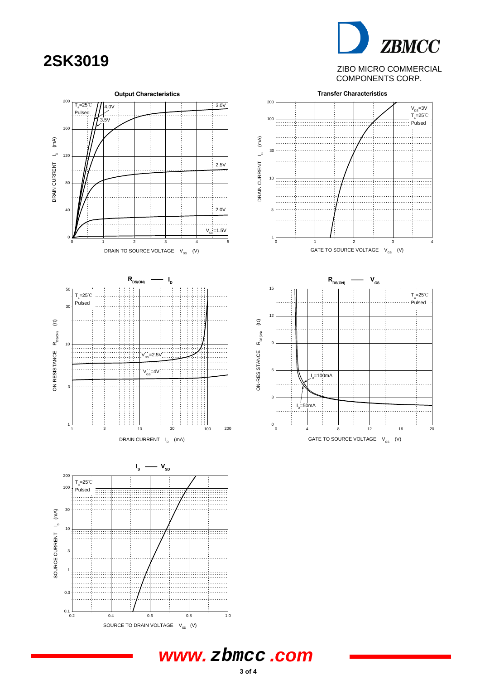**ZBMCC 2SK3019** ZIBO MICRO COMMERCIAL COMPONENTS CORP.



# **www. zbmcc .com**